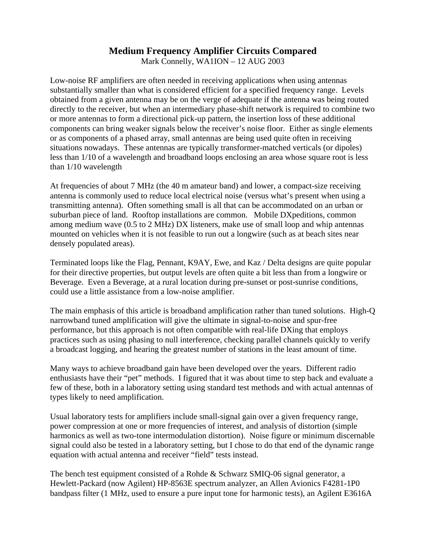# **Medium Frequency Amplifier Circuits Compared**

Mark Connelly, WA1ION – 12 AUG 2003

Low-noise RF amplifiers are often needed in receiving applications when using antennas substantially smaller than what is considered efficient for a specified frequency range. Levels obtained from a given antenna may be on the verge of adequate if the antenna was being routed directly to the receiver, but when an intermediary phase-shift network is required to combine two or more antennas to form a directional pick-up pattern, the insertion loss of these additional components can bring weaker signals below the receiver's noise floor. Either as single elements or as components of a phased array, small antennas are being used quite often in receiving situations nowadays. These antennas are typically transformer-matched verticals (or dipoles) less than 1/10 of a wavelength and broadband loops enclosing an area whose square root is less than 1/10 wavelength

At frequencies of about 7 MHz (the 40 m amateur band) and lower, a compact-size receiving antenna is commonly used to reduce local electrical noise (versus what's present when using a transmitting antenna). Often something small is all that can be accommodated on an urban or suburban piece of land. Rooftop installations are common. Mobile DXpeditions, common among medium wave (0.5 to 2 MHz) DX listeners, make use of small loop and whip antennas mounted on vehicles when it is not feasible to run out a longwire (such as at beach sites near densely populated areas).

Terminated loops like the Flag, Pennant, K9AY, Ewe, and Kaz / Delta designs are quite popular for their directive properties, but output levels are often quite a bit less than from a longwire or Beverage. Even a Beverage, at a rural location during pre-sunset or post-sunrise conditions, could use a little assistance from a low-noise amplifier.

The main emphasis of this article is broadband amplification rather than tuned solutions. High-Q narrowband tuned amplification will give the ultimate in signal-to-noise and spur-free performance, but this approach is not often compatible with real-life DXing that employs practices such as using phasing to null interference, checking parallel channels quickly to verify a broadcast logging, and hearing the greatest number of stations in the least amount of time.

Many ways to achieve broadband gain have been developed over the years. Different radio enthusiasts have their "pet" methods. I figured that it was about time to step back and evaluate a few of these, both in a laboratory setting using standard test methods and with actual antennas of types likely to need amplification.

Usual laboratory tests for amplifiers include small-signal gain over a given frequency range, power compression at one or more frequencies of interest, and analysis of distortion (simple harmonics as well as two-tone intermodulation distortion). Noise figure or minimum discernable signal could also be tested in a laboratory setting, but I chose to do that end of the dynamic range equation with actual antenna and receiver "field" tests instead.

The bench test equipment consisted of a Rohde & Schwarz SMIQ-06 signal generator, a Hewlett-Packard (now Agilent) HP-8563E spectrum analyzer, an Allen Avionics F4281-1P0 bandpass filter (1 MHz, used to ensure a pure input tone for harmonic tests), an Agilent E3616A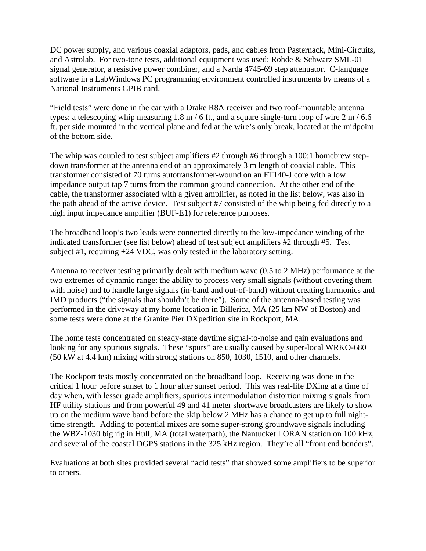DC power supply, and various coaxial adaptors, pads, and cables from Pasternack, Mini-Circuits, and Astrolab. For two-tone tests, additional equipment was used: Rohde & Schwarz SML-01 signal generator, a resistive power combiner, and a Narda 4745-69 step attenuator. C-language software in a LabWindows PC programming environment controlled instruments by means of a National Instruments GPIB card.

"Field tests" were done in the car with a Drake R8A receiver and two roof-mountable antenna types: a telescoping whip measuring 1.8 m / 6 ft., and a square single-turn loop of wire  $2 \text{ m}$  / 6.6 ft. per side mounted in the vertical plane and fed at the wire's only break, located at the midpoint of the bottom side.

The whip was coupled to test subject amplifiers #2 through #6 through a 100:1 homebrew stepdown transformer at the antenna end of an approximately 3 m length of coaxial cable. This transformer consisted of 70 turns autotransformer-wound on an FT140-J core with a low impedance output tap 7 turns from the common ground connection. At the other end of the cable, the transformer associated with a given amplifier, as noted in the list below, was also in the path ahead of the active device. Test subject #7 consisted of the whip being fed directly to a high input impedance amplifier (BUF-E1) for reference purposes.

The broadband loop's two leads were connected directly to the low-impedance winding of the indicated transformer (see list below) ahead of test subject amplifiers #2 through #5. Test subject #1, requiring +24 VDC, was only tested in the laboratory setting.

Antenna to receiver testing primarily dealt with medium wave (0.5 to 2 MHz) performance at the two extremes of dynamic range: the ability to process very small signals (without covering them with noise) and to handle large signals (in-band and out-of-band) without creating harmonics and IMD products ("the signals that shouldn't be there"). Some of the antenna-based testing was performed in the driveway at my home location in Billerica, MA (25 km NW of Boston) and some tests were done at the Granite Pier DXpedition site in Rockport, MA.

The home tests concentrated on steady-state daytime signal-to-noise and gain evaluations and looking for any spurious signals. These "spurs" are usually caused by super-local WRKO-680 (50 kW at 4.4 km) mixing with strong stations on 850, 1030, 1510, and other channels.

The Rockport tests mostly concentrated on the broadband loop. Receiving was done in the critical 1 hour before sunset to 1 hour after sunset period. This was real-life DXing at a time of day when, with lesser grade amplifiers, spurious intermodulation distortion mixing signals from HF utility stations and from powerful 49 and 41 meter shortwave broadcasters are likely to show up on the medium wave band before the skip below 2 MHz has a chance to get up to full nighttime strength. Adding to potential mixes are some super-strong groundwave signals including the WBZ-1030 big rig in Hull, MA (total waterpath), the Nantucket LORAN station on 100 kHz, and several of the coastal DGPS stations in the 325 kHz region. They're all "front end benders".

Evaluations at both sites provided several "acid tests" that showed some amplifiers to be superior to others.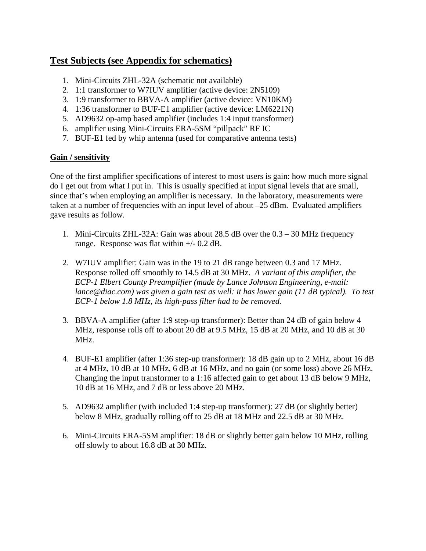# **Test Subjects (see Appendix for schematics)**

- 1. Mini-Circuits ZHL-32A (schematic not available)
- 2. 1:1 transformer to W7IUV amplifier (active device: 2N5109)
- 3. 1:9 transformer to BBVA-A amplifier (active device: VN10KM)
- 4. 1:36 transformer to BUF-E1 amplifier (active device: LM6221N)
- 5. AD9632 op-amp based amplifier (includes 1:4 input transformer)
- 6. amplifier using Mini-Circuits ERA-5SM "pillpack" RF IC
- 7. BUF-E1 fed by whip antenna (used for comparative antenna tests)

## **Gain / sensitivity**

One of the first amplifier specifications of interest to most users is gain: how much more signal do I get out from what I put in. This is usually specified at input signal levels that are small, since that's when employing an amplifier is necessary. In the laboratory, measurements were taken at a number of frequencies with an input level of about –25 dBm. Evaluated amplifiers gave results as follow.

- 1. Mini-Circuits ZHL-32A: Gain was about 28.5 dB over the 0.3 30 MHz frequency range. Response was flat within +/- 0.2 dB.
- 2. W7IUV amplifier: Gain was in the 19 to 21 dB range between 0.3 and 17 MHz. Response rolled off smoothly to 14.5 dB at 30 MHz. *A variant of this amplifier, the ECP-1 Elbert County Preamplifier (made by Lance Johnson Engineering, e-mail: lance@diac.com) was given a gain test as well: it has lower gain (11 dB typical). To test ECP-1 below 1.8 MHz, its high-pass filter had to be removed.*
- 3. BBVA-A amplifier (after 1:9 step-up transformer): Better than 24 dB of gain below 4 MHz, response rolls off to about 20 dB at 9.5 MHz, 15 dB at 20 MHz, and 10 dB at 30 MHz.
- 4. BUF-E1 amplifier (after 1:36 step-up transformer): 18 dB gain up to 2 MHz, about 16 dB at 4 MHz, 10 dB at 10 MHz, 6 dB at 16 MHz, and no gain (or some loss) above 26 MHz. Changing the input transformer to a 1:16 affected gain to get about 13 dB below 9 MHz, 10 dB at 16 MHz, and 7 dB or less above 20 MHz.
- 5. AD9632 amplifier (with included 1:4 step-up transformer): 27 dB (or slightly better) below 8 MHz, gradually rolling off to 25 dB at 18 MHz and 22.5 dB at 30 MHz.
- 6. Mini-Circuits ERA-5SM amplifier: 18 dB or slightly better gain below 10 MHz, rolling off slowly to about 16.8 dB at 30 MHz.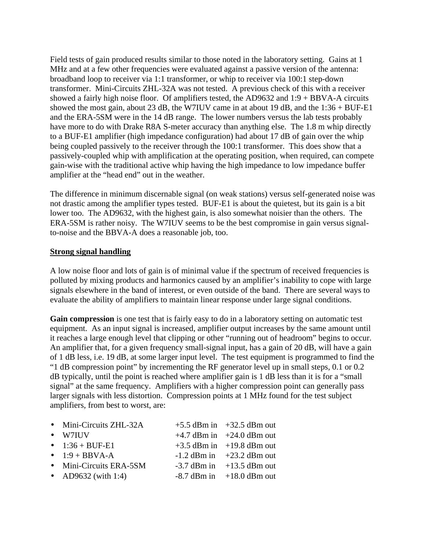Field tests of gain produced results similar to those noted in the laboratory setting. Gains at 1 MHz and at a few other frequencies were evaluated against a passive version of the antenna: broadband loop to receiver via 1:1 transformer, or whip to receiver via 100:1 step-down transformer. Mini-Circuits ZHL-32A was not tested. A previous check of this with a receiver showed a fairly high noise floor. Of amplifiers tested, the AD9632 and 1:9 + BBVA-A circuits showed the most gain, about 23 dB, the W7IUV came in at about 19 dB, and the  $1:36 + BUF-E1$ and the ERA-5SM were in the 14 dB range. The lower numbers versus the lab tests probably have more to do with Drake R8A S-meter accuracy than anything else. The 1.8 m whip directly to a BUF-E1 amplifier (high impedance configuration) had about 17 dB of gain over the whip being coupled passively to the receiver through the 100:1 transformer. This does show that a passively-coupled whip with amplification at the operating position, when required, can compete gain-wise with the traditional active whip having the high impedance to low impedance buffer amplifier at the "head end" out in the weather.

The difference in minimum discernable signal (on weak stations) versus self-generated noise was not drastic among the amplifier types tested. BUF-E1 is about the quietest, but its gain is a bit lower too. The AD9632, with the highest gain, is also somewhat noisier than the others. The ERA-5SM is rather noisy. The W7IUV seems to be the best compromise in gain versus signalto-noise and the BBVA-A does a reasonable job, too.

#### **Strong signal handling**

A low noise floor and lots of gain is of minimal value if the spectrum of received frequencies is polluted by mixing products and harmonics caused by an amplifier's inability to cope with large signals elsewhere in the band of interest, or even outside of the band. There are several ways to evaluate the ability of amplifiers to maintain linear response under large signal conditions.

**Gain compression** is one test that is fairly easy to do in a laboratory setting on automatic test equipment. As an input signal is increased, amplifier output increases by the same amount until it reaches a large enough level that clipping or other "running out of headroom" begins to occur. An amplifier that, for a given frequency small-signal input, has a gain of 20 dB, will have a gain of 1 dB less, i.e. 19 dB, at some larger input level. The test equipment is programmed to find the "1 dB compression point" by incrementing the RF generator level up in small steps, 0.1 or 0.2 dB typically, until the point is reached where amplifier gain is 1 dB less than it is for a "small signal" at the same frequency. Amplifiers with a higher compression point can generally pass larger signals with less distortion. Compression points at 1 MHz found for the test subject amplifiers, from best to worst, are:

| • Mini-Circuits ZHL-32A | $+5.5$ dBm in $+32.5$ dBm out |
|-------------------------|-------------------------------|
| $\bullet$ W7IUV         | $+4.7$ dBm in $+24.0$ dBm out |
| • $1:36 + BUF-E1$       | $+3.5$ dBm in $+19.8$ dBm out |
| $\bullet$ 1:9 + BBVA-A  | $-1.2$ dBm in $+23.2$ dBm out |
| • Mini-Circuits ERA-5SM | $-3.7$ dBm in $+13.5$ dBm out |
| • AD9632 (with 1:4)     | $-8.7$ dBm in $+18.0$ dBm out |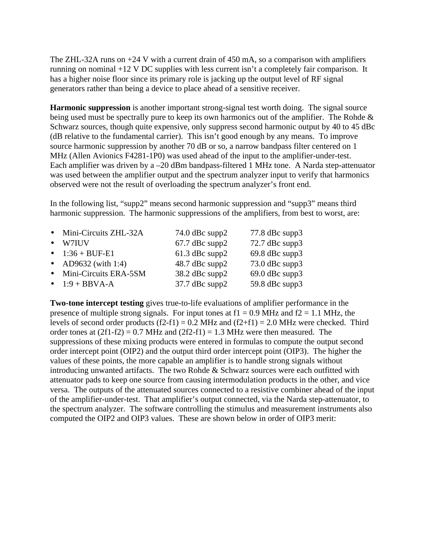The ZHL-32A runs on  $+24$  V with a current drain of 450 mA, so a comparison with amplifiers running on nominal +12 V DC supplies with less current isn't a completely fair comparison. It has a higher noise floor since its primary role is jacking up the output level of RF signal generators rather than being a device to place ahead of a sensitive receiver.

**Harmonic suppression** is another important strong-signal test worth doing. The signal source being used must be spectrally pure to keep its own harmonics out of the amplifier. The Rohde & Schwarz sources, though quite expensive, only suppress second harmonic output by 40 to 45 dBc (dB relative to the fundamental carrier). This isn't good enough by any means. To improve source harmonic suppression by another 70 dB or so, a narrow bandpass filter centered on 1 MHz (Allen Avionics F4281-1P0) was used ahead of the input to the amplifier-under-test. Each amplifier was driven by a –20 dBm bandpass-filtered 1 MHz tone. A Narda step-attenuator was used between the amplifier output and the spectrum analyzer input to verify that harmonics observed were not the result of overloading the spectrum analyzer's front end.

In the following list, "supp2" means second harmonic suppression and "supp3" means third harmonic suppression. The harmonic suppressions of the amplifiers, from best to worst, are:

|       | $74.0$ dBc supp2                                                                                                         | $77.8$ dBc supp3 |
|-------|--------------------------------------------------------------------------------------------------------------------------|------------------|
| W7IUV | $67.7$ dBc supp2                                                                                                         | 72.7 dBc supp3   |
|       | $61.3$ dBc supp2                                                                                                         | $69.8$ dBc supp3 |
|       | 48.7 dBc supp2                                                                                                           | 73.0 dBc supp3   |
|       | 38.2 dBc supp2                                                                                                           | $69.0$ dBc supp3 |
|       | $37.7$ dBc supp2                                                                                                         | 59.8 dBc supp3   |
|       | • Mini-Circuits ZHL-32A<br>• $1:36 + BUF-E1$<br>• AD9632 (with 1:4)<br>• Mini-Circuits ERA-5SM<br>$\bullet$ 1:9 + BBVA-A |                  |

**Two-tone intercept testing** gives true-to-life evaluations of amplifier performance in the presence of multiple strong signals. For input tones at  $f1 = 0.9$  MHz and  $f2 = 1.1$  MHz, the levels of second order products  $(f2-f1) = 0.2$  MHz and  $(f2+f1) = 2.0$  MHz were checked. Third order tones at  $(2f1-f2) = 0.7$  MHz and  $(2f2-f1) = 1.3$  MHz were then measured. The suppressions of these mixing products were entered in formulas to compute the output second order intercept point (OIP2) and the output third order intercept point (OIP3). The higher the values of these points, the more capable an amplifier is to handle strong signals without introducing unwanted artifacts. The two Rohde & Schwarz sources were each outfitted with attenuator pads to keep one source from causing intermodulation products in the other, and vice versa. The outputs of the attenuated sources connected to a resistive combiner ahead of the input of the amplifier-under-test. That amplifier's output connected, via the Narda step-attenuator, to the spectrum analyzer. The software controlling the stimulus and measurement instruments also computed the OIP2 and OIP3 values. These are shown below in order of OIP3 merit: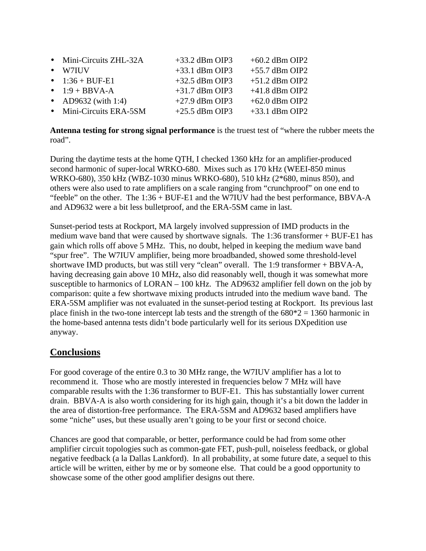| • Mini-Circuits ZHL-32A | $+33.2$ dBm OIP3 | $+60.2$ dBm OIP2 |
|-------------------------|------------------|------------------|
| $\bullet$ W7IUV         | $+33.1$ dBm OIP3 | $+55.7$ dBm OIP2 |
| • $1:36 + BUF-E1$       | $+32.5$ dBm OIP3 | $+51.2$ dBm OIP2 |
| $\bullet$ 1:9 + BBVA-A  | $+31.7$ dBm OIP3 | $+41.8$ dBm OIP2 |
| • AD9632 (with 1:4)     | $+27.9$ dBm OIP3 | $+62.0$ dBm OIP2 |
| • Mini-Circuits ERA-5SM | $+25.5$ dBm OIP3 | $+33.1$ dBm OIP2 |

**Antenna testing for strong signal performance** is the truest test of "where the rubber meets the road".

During the daytime tests at the home QTH, I checked 1360 kHz for an amplifier-produced second harmonic of super-local WRKO-680. Mixes such as 170 kHz (WEEI-850 minus WRKO-680), 350 kHz (WBZ-1030 minus WRKO-680), 510 kHz (2\*680, minus 850), and others were also used to rate amplifiers on a scale ranging from "crunchproof" on one end to "feeble" on the other. The 1:36 + BUF-E1 and the W7IUV had the best performance, BBVA-A and AD9632 were a bit less bulletproof, and the ERA-5SM came in last.

Sunset-period tests at Rockport, MA largely involved suppression of IMD products in the medium wave band that were caused by shortwave signals. The 1:36 transformer + BUF-E1 has gain which rolls off above 5 MHz. This, no doubt, helped in keeping the medium wave band "spur free". The W7IUV amplifier, being more broadbanded, showed some threshold-level shortwave IMD products, but was still very "clean" overall. The 1:9 transformer + BBVA-A, having decreasing gain above 10 MHz, also did reasonably well, though it was somewhat more susceptible to harmonics of LORAN – 100 kHz. The AD9632 amplifier fell down on the job by comparison: quite a few shortwave mixing products intruded into the medium wave band. The ERA-5SM amplifier was not evaluated in the sunset-period testing at Rockport. Its previous last place finish in the two-tone intercept lab tests and the strength of the  $680*2 = 1360$  harmonic in the home-based antenna tests didn't bode particularly well for its serious DXpedition use anyway.

## **Conclusions**

For good coverage of the entire 0.3 to 30 MHz range, the W7IUV amplifier has a lot to recommend it. Those who are mostly interested in frequencies below 7 MHz will have comparable results with the 1:36 transformer to BUF-E1. This has substantially lower current drain. BBVA-A is also worth considering for its high gain, though it's a bit down the ladder in the area of distortion-free performance. The ERA-5SM and AD9632 based amplifiers have some "niche" uses, but these usually aren't going to be your first or second choice.

Chances are good that comparable, or better, performance could be had from some other amplifier circuit topologies such as common-gate FET, push-pull, noiseless feedback, or global negative feedback (a la Dallas Lankford). In all probability, at some future date, a sequel to this article will be written, either by me or by someone else. That could be a good opportunity to showcase some of the other good amplifier designs out there.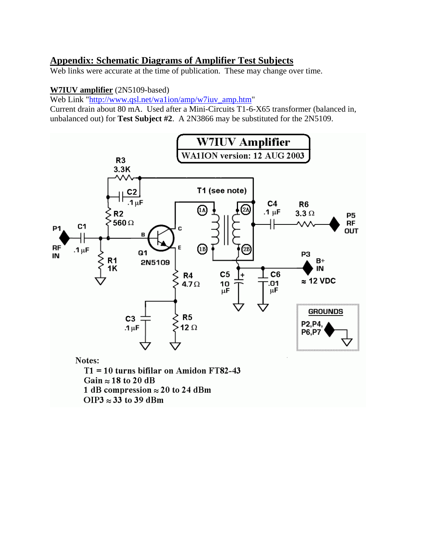# **Appendix: Schematic Diagrams of Amplifier Test Subjects**

Web links were accurate at the time of publication. These may change over time.

### **W7IUV amplifier** (2N5109-based)

Web Link ["http://www.qsl.net/wa1ion/amp/w7iuv\\_amp.htm"](http://www.qsl.net/wa1ion/amp/w7iuv_amp.htm) 

Current drain about 80 mA. Used after a Mini-Circuits T1-6-X65 transformer (balanced in, unbalanced out) for **Test Subject #2**. A 2N3866 may be substituted for the 2N5109.



Gain  $\approx$  18 to 20 dB

1 dB compression  $\approx$  20 to 24 dBm

OIP3  $\approx$  33 to 39 dBm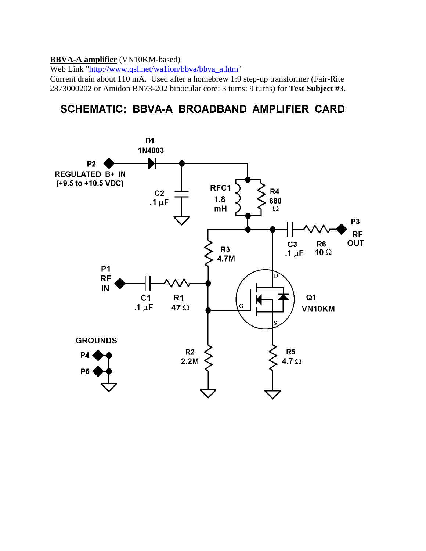#### **BBVA-A amplifier** (VN10KM-based)

Web Link ["http://www.qsl.net/wa1ion/bbva/bbva\\_a.htm"](http://www.qsl.net/wa1ion/bbva/bbva_a.htm)

Current drain about 110 mA. Used after a homebrew 1:9 step-up transformer (Fair-Rite 2873000202 or Amidon BN73-202 binocular core: 3 turns: 9 turns) for **Test Subject #3**.

# **SCHEMATIC: BBVA-A BROADBAND AMPLIFIER CARD**

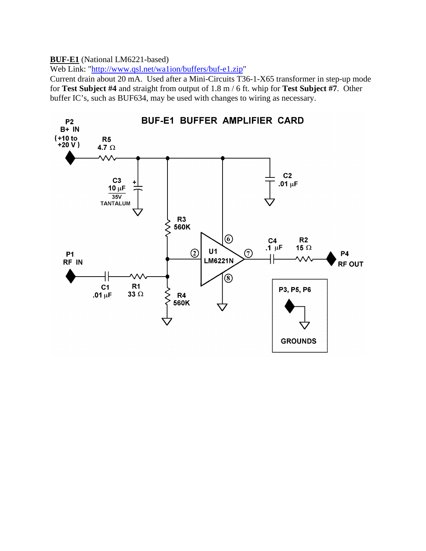#### **BUF-E1** (National LM6221-based)

Web Link: ["http://www.qsl.net/wa1ion/buffers/buf-e1.zip"](http://www.qsl.net/wa1ion/buffers/buf-e1.zip)

Current drain about 20 mA. Used after a Mini-Circuits T36-1-X65 transformer in step-up mode for **Test Subject #4** and straight from output of 1.8 m / 6 ft. whip for **Test Subject #7**. Other buffer IC's, such as BUF634, may be used with changes to wiring as necessary.

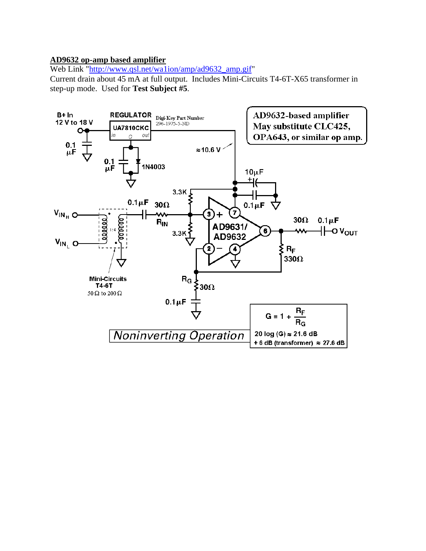#### **AD9632 op-amp based amplifier**

Web Link "http://www.qsl.net/wa1ion/amp/ad9632\_amp.gif"

Current drain about 45 mA at full output. Includes Mini-Circuits T4-6T-X65 transformer in step-up mode. Used for **Test Subject #5**.